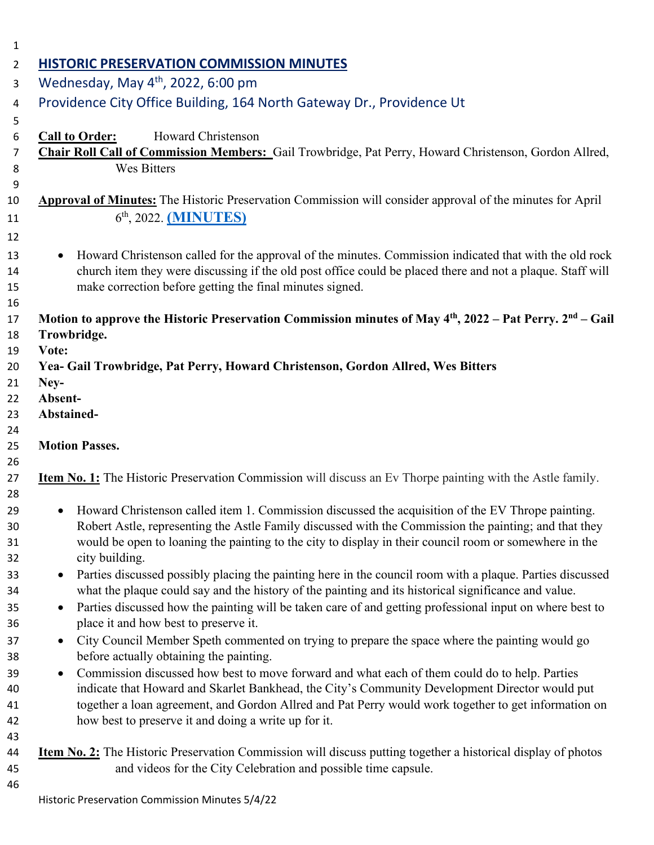| <b>HISTORIC PRESERVATION COMMISSION MINUTES</b><br>Wednesday, May 4 <sup>th</sup> , 2022, 6:00 pm                                                                                                                                                                                                                                                   |  |
|-----------------------------------------------------------------------------------------------------------------------------------------------------------------------------------------------------------------------------------------------------------------------------------------------------------------------------------------------------|--|
| Providence City Office Building, 164 North Gateway Dr., Providence Ut                                                                                                                                                                                                                                                                               |  |
| Howard Christenson<br><b>Call to Order:</b><br>Chair Roll Call of Commission Members: Gail Trowbridge, Pat Perry, Howard Christenson, Gordon Allred,<br><b>Wes Bitters</b>                                                                                                                                                                          |  |
| Approval of Minutes: The Historic Preservation Commission will consider approval of the minutes for April<br>6 <sup>th</sup> , 2022. ( <b>MINUTES</b> )                                                                                                                                                                                             |  |
| Howard Christenson called for the approval of the minutes. Commission indicated that with the old rock<br>$\bullet$<br>church item they were discussing if the old post office could be placed there and not a plaque. Staff will<br>make correction before getting the final minutes signed.                                                       |  |
| Motion to approve the Historic Preservation Commission minutes of May 4 <sup>th</sup> , 2022 – Pat Perry. 2 <sup>nd</sup> – Gail                                                                                                                                                                                                                    |  |
| Trowbridge.                                                                                                                                                                                                                                                                                                                                         |  |
| Vote:                                                                                                                                                                                                                                                                                                                                               |  |
| Yea- Gail Trowbridge, Pat Perry, Howard Christenson, Gordon Allred, Wes Bitters<br>Ney-                                                                                                                                                                                                                                                             |  |
| Absent-                                                                                                                                                                                                                                                                                                                                             |  |
| Abstained-                                                                                                                                                                                                                                                                                                                                          |  |
|                                                                                                                                                                                                                                                                                                                                                     |  |
| <b>Motion Passes.</b>                                                                                                                                                                                                                                                                                                                               |  |
|                                                                                                                                                                                                                                                                                                                                                     |  |
| <b>Item No. 1:</b> The Historic Preservation Commission will discuss an Ev Thorpe painting with the Astle family.                                                                                                                                                                                                                                   |  |
| Howard Christenson called item 1. Commission discussed the acquisition of the EV Thrope painting.<br>$\bullet$<br>Robert Astle, representing the Astle Family discussed with the Commission the painting; and that they<br>would be open to loaning the painting to the city to display in their council room or somewhere in the<br>city building. |  |
| Parties discussed possibly placing the painting here in the council room with a plaque. Parties discussed<br>$\bullet$<br>what the plaque could say and the history of the painting and its historical significance and value.                                                                                                                      |  |
| Parties discussed how the painting will be taken care of and getting professional input on where best to<br>$\bullet$                                                                                                                                                                                                                               |  |
| place it and how best to preserve it.                                                                                                                                                                                                                                                                                                               |  |
| City Council Member Speth commented on trying to prepare the space where the painting would go<br>$\bullet$                                                                                                                                                                                                                                         |  |
| before actually obtaining the painting.                                                                                                                                                                                                                                                                                                             |  |
| Commission discussed how best to move forward and what each of them could do to help. Parties<br>$\bullet$                                                                                                                                                                                                                                          |  |
| indicate that Howard and Skarlet Bankhead, the City's Community Development Director would put                                                                                                                                                                                                                                                      |  |
| together a loan agreement, and Gordon Allred and Pat Perry would work together to get information on                                                                                                                                                                                                                                                |  |
| how best to preserve it and doing a write up for it.                                                                                                                                                                                                                                                                                                |  |
|                                                                                                                                                                                                                                                                                                                                                     |  |
| <b>Item No. 2:</b> The Historic Preservation Commission will discuss putting together a historical display of photos                                                                                                                                                                                                                                |  |
| and videos for the City Celebration and possible time capsule.                                                                                                                                                                                                                                                                                      |  |
| Historic Preservation Commission Minutes 5/4/22                                                                                                                                                                                                                                                                                                     |  |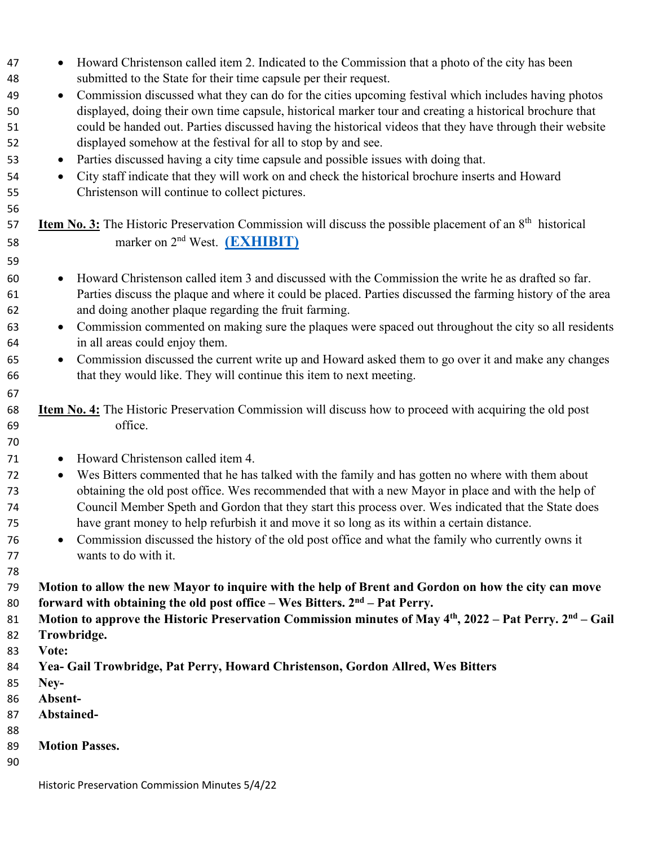| 48 | submitted to the State for their time capsule per their request.                                                                 |
|----|----------------------------------------------------------------------------------------------------------------------------------|
| 49 | Commission discussed what they can do for the cities upcoming festival which includes having photos<br>$\bullet$                 |
| 50 | displayed, doing their own time capsule, historical marker tour and creating a historical brochure that                          |
| 51 | could be handed out. Parties discussed having the historical videos that they have through their website                         |
| 52 | displayed somehow at the festival for all to stop by and see.                                                                    |
| 53 | Parties discussed having a city time capsule and possible issues with doing that.<br>$\bullet$                                   |
| 54 | City staff indicate that they will work on and check the historical brochure inserts and Howard<br>$\bullet$                     |
| 55 | Christenson will continue to collect pictures.                                                                                   |
| 56 |                                                                                                                                  |
| 57 | <b>Item No. 3:</b> The Historic Preservation Commission will discuss the possible placement of an 8 <sup>th</sup> historical     |
| 58 | marker on 2 <sup>nd</sup> West. (EXHIBIT)                                                                                        |
| 59 |                                                                                                                                  |
| 60 | Howard Christenson called item 3 and discussed with the Commission the write he as drafted so far.<br>$\bullet$                  |
| 61 | Parties discuss the plaque and where it could be placed. Parties discussed the farming history of the area                       |
| 62 | and doing another plaque regarding the fruit farming.                                                                            |
| 63 | Commission commented on making sure the plaques were spaced out throughout the city so all residents<br>$\bullet$                |
| 64 | in all areas could enjoy them.                                                                                                   |
| 65 | Commission discussed the current write up and Howard asked them to go over it and make any changes<br>$\bullet$                  |
| 66 | that they would like. They will continue this item to next meeting.                                                              |
| 67 |                                                                                                                                  |
| 68 | <b>Item No. 4:</b> The Historic Preservation Commission will discuss how to proceed with acquiring the old post                  |
| 69 | office.                                                                                                                          |
| 70 |                                                                                                                                  |
| 71 | Howard Christenson called item 4.<br>$\bullet$                                                                                   |
| 72 | Wes Bitters commented that he has talked with the family and has gotten no where with them about<br>$\bullet$                    |
| 73 | obtaining the old post office. Wes recommended that with a new Mayor in place and with the help of                               |
| 74 | Council Member Speth and Gordon that they start this process over. Wes indicated that the State does                             |
| 75 | have grant money to help refurbish it and move it so long as its within a certain distance.                                      |
| 76 | Commission discussed the history of the old post office and what the family who currently owns it<br>$\bullet$                   |
| 77 | wants to do with it.                                                                                                             |
| 78 |                                                                                                                                  |
| 79 | Motion to allow the new Mayor to inquire with the help of Brent and Gordon on how the city can move                              |
| 80 | forward with obtaining the old post office – Wes Bitters. $2nd$ – Pat Perry.                                                     |
| 81 | Motion to approve the Historic Preservation Commission minutes of May 4 <sup>th</sup> , 2022 – Pat Perry. 2 <sup>nd</sup> – Gail |
| 82 | Trowbridge.                                                                                                                      |
| 83 | Vote:                                                                                                                            |
| 84 | Yea- Gail Trowbridge, Pat Perry, Howard Christenson, Gordon Allred, Wes Bitters                                                  |
| 85 | Ney-                                                                                                                             |
| 86 | Absent-                                                                                                                          |
| 87 | Abstained-                                                                                                                       |
| 88 |                                                                                                                                  |
| 89 | <b>Motion Passes.</b>                                                                                                            |
| 90 |                                                                                                                                  |
|    | Historic Preservation Commission Minutes 5/4/22                                                                                  |

• Howard Christenson called item 2. Indicated to the Commission that a photo of the city has been